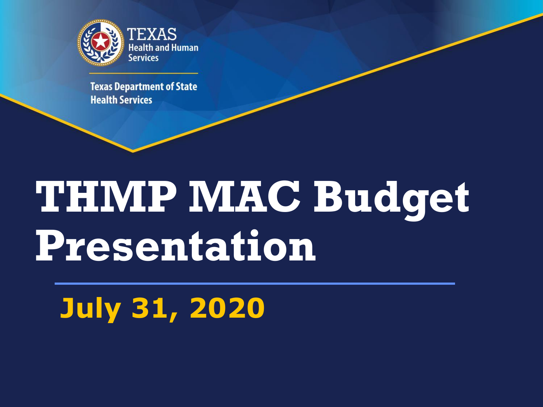

**Texas Department of State Health Services** 

## **THMP MAC Budget Presentation**

## **July 31, 2020**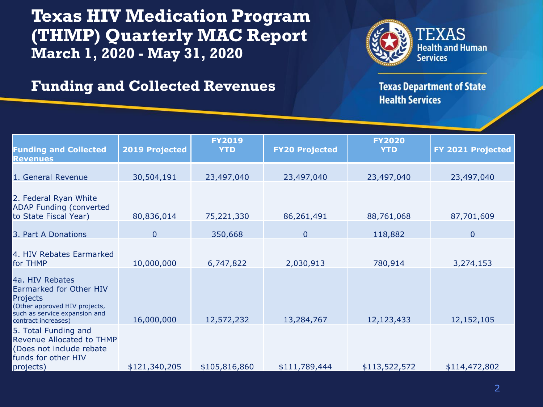**Texas HIV Medication Program (THMP) Quarterly MAC Report March 1, 2020 - May 31, 2020**



## **Funding and Collected Revenues**

**Texas Department of State Health Services** 

| <b>Funding and Collected</b><br>Revenues                                                                                                        | <b>2019 Projected</b> | <b>FY2019</b><br><b>YTD</b> | <b>FY20 Projected</b> | <b>FY2020</b><br><b>YTD</b> | FY 2021 Projected |
|-------------------------------------------------------------------------------------------------------------------------------------------------|-----------------------|-----------------------------|-----------------------|-----------------------------|-------------------|
| 1. General Revenue                                                                                                                              | 30,504,191            | 23,497,040                  | 23,497,040            | 23,497,040                  | 23,497,040        |
| 2. Federal Ryan White<br><b>ADAP Funding (converted</b><br>to State Fiscal Year)                                                                | 80,836,014            | 75,221,330                  | 86,261,491            | 88,761,068                  | 87,701,609        |
| 3. Part A Donations                                                                                                                             | $\mathbf 0$           | 350,668                     | $\overline{0}$        | 118,882                     | $\overline{0}$    |
| 4. HIV Rebates Earmarked<br>for THMP                                                                                                            | 10,000,000            | 6,747,822                   | 2,030,913             | 780,914                     | 3,274,153         |
| 4a. HIV Rebates<br>Earmarked for Other HIV<br>Projects<br>(Other approved HIV projects,<br>such as service expansion and<br>contract increases) | 16,000,000            | 12,572,232                  | 13,284,767            | 12,123,433                  | 12,152,105        |
| 5. Total Funding and<br>Revenue Allocated to THMP<br>(Does not include rebate<br>funds for other HIV<br>projects)                               | \$121,340,205         | \$105,816,860               | \$111,789,444         | \$113,522,572               | \$114,472,802     |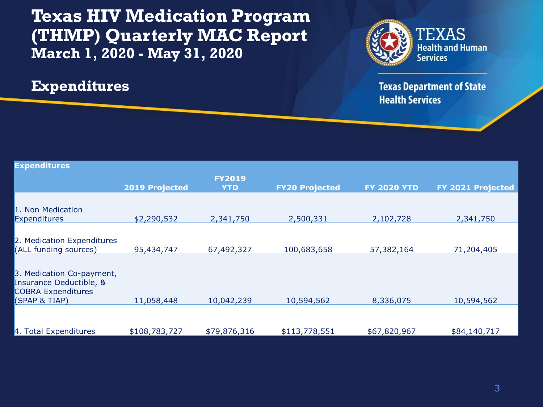**Texas HIV Medication Program (THMP) Quarterly MAC Report March 1, 2020 - May 31, 2020**

**Expenditures**



**Texas Department of State Health Services** 

| <b>Expenditures</b>                                                                                |                       |                             |                       |                    |                          |
|----------------------------------------------------------------------------------------------------|-----------------------|-----------------------------|-----------------------|--------------------|--------------------------|
|                                                                                                    | <b>2019 Projected</b> | <b>FY2019</b><br><b>YTD</b> | <b>FY20 Projected</b> | <b>FY 2020 YTD</b> | <b>FY 2021 Projected</b> |
| 1. Non Medication                                                                                  |                       |                             |                       |                    |                          |
| <b>Expenditures</b>                                                                                | \$2,290,532           | 2,341,750                   | 2,500,331             | 2,102,728          | 2,341,750                |
| 2. Medication Expenditures<br>(ALL funding sources)                                                | 95,434,747            | 67,492,327                  | 100,683,658           | 57,382,164         | 71,204,405               |
| 3. Medication Co-payment,<br>Insurance Deductible, &<br><b>COBRA Expenditures</b><br>(SPAP & TIAP) | 11,058,448            | 10,042,239                  | 10,594,562            | 8,336,075          | 10,594,562               |
| 4. Total Expenditures                                                                              | \$108,783,727         | \$79,876,316                | \$113,778,551         | \$67,820,967       | \$84,140,717             |